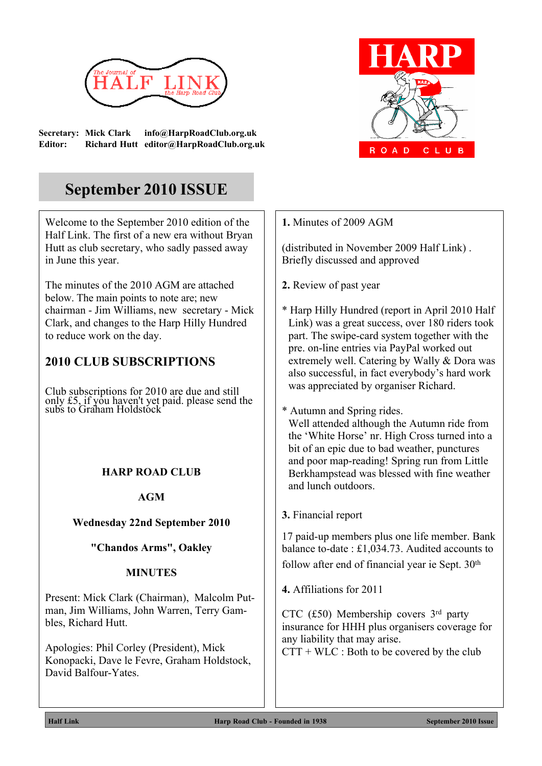

**Secretary: Mick Clark info@HarpRoadClub.org.uk Editor: Richard Hutt editor@HarpRoadClub.org.uk**



# **September 2010 ISSUE**

Welcome to the September 2010 edition of the Half Link. The first of a new era without Bryan Hutt as club secretary, who sadly passed away in June this year.

The minutes of the 2010 AGM are attached below. The main points to note are; new chairman - Jim Williams, new secretary - Mick Clark, and changes to the Harp Hilly Hundred to reduce work on the day.

# **2010 CLUB SUBSCRIPTIONS**

Club subscriptions for 2010 are due and still only £5, if you haven't yet paid. please send the subs to Graham Holdstock

## **HARP ROAD CLUB**

**AGM**

## **Wednesday 22nd September 2010**

**"Chandos Arms", Oakley**

## **MINUTES**

Present: Mick Clark (Chairman), Malcolm Putman, Jim Williams, John Warren, Terry Gambles, Richard Hutt.

Apologies: Phil Corley (President), Mick Konopacki, Dave le Fevre, Graham Holdstock, David Balfour-Yates.

**1.** Minutes of 2009 AGM

(distributed in November 2009 Half Link) . Briefly discussed and approved

- **2.** Review of past year
- \* Harp Hilly Hundred (report in April 2010 Half Link) was a great success, over 180 riders took part. The swipe-card system together with the pre. on-line entries via PayPal worked out extremely well. Catering by Wally & Dora was also successful, in fact everybody's hard work was appreciated by organiser Richard.

#### \* Autumn and Spring rides.

Well attended although the Autumn ride from the 'White Horse' nr. High Cross turned into a bit of an epic due to bad weather, punctures and poor map-reading! Spring run from Little Berkhampstead was blessed with fine weather and lunch outdoors.

**3.** Financial report

17 paid-up members plus one life member. Bank balance to-date : £1,034.73. Audited accounts to follow after end of financial year ie Sept. 30<sup>th</sup>

**4.** Affiliations for 2011

CTC (£50) Membership covers 3rd party insurance for HHH plus organisers coverage for any liability that may arise.

 $CTT + WLC$ : Both to be covered by the club